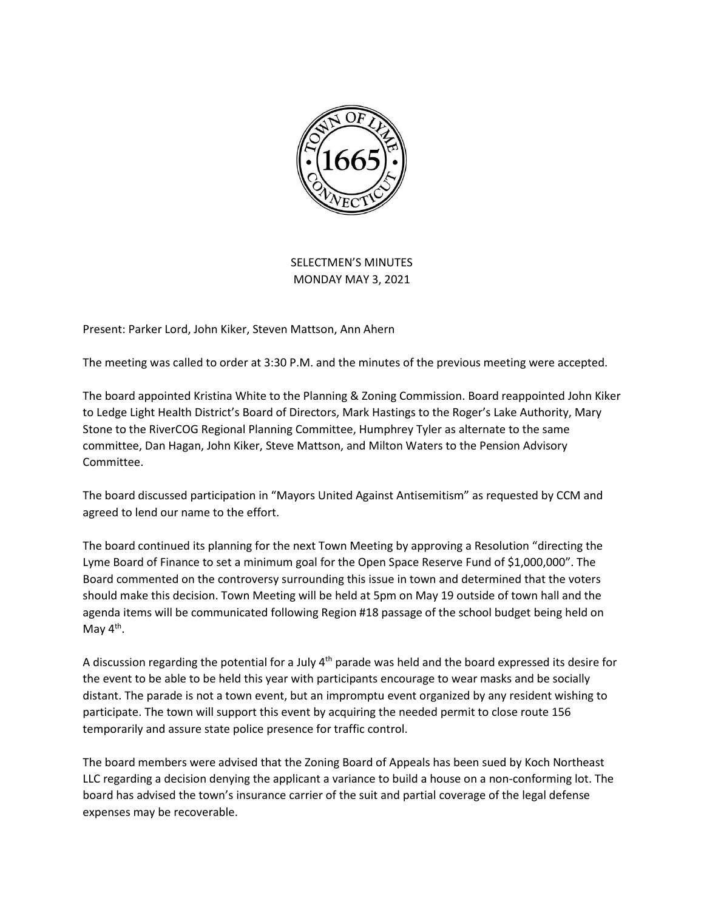

SELECTMEN'S MINUTES MONDAY MAY 3, 2021

Present: Parker Lord, John Kiker, Steven Mattson, Ann Ahern

The meeting was called to order at 3:30 P.M. and the minutes of the previous meeting were accepted.

The board appointed Kristina White to the Planning & Zoning Commission. Board reappointed John Kiker to Ledge Light Health District's Board of Directors, Mark Hastings to the Roger's Lake Authority, Mary Stone to the RiverCOG Regional Planning Committee, Humphrey Tyler as alternate to the same committee, Dan Hagan, John Kiker, Steve Mattson, and Milton Waters to the Pension Advisory Committee.

The board discussed participation in "Mayors United Against Antisemitism" as requested by CCM and agreed to lend our name to the effort.

The board continued its planning for the next Town Meeting by approving a Resolution "directing the Lyme Board of Finance to set a minimum goal for the Open Space Reserve Fund of \$1,000,000". The Board commented on the controversy surrounding this issue in town and determined that the voters should make this decision. Town Meeting will be held at 5pm on May 19 outside of town hall and the agenda items will be communicated following Region #18 passage of the school budget being held on May 4<sup>th</sup>.

A discussion regarding the potential for a July  $4<sup>th</sup>$  parade was held and the board expressed its desire for the event to be able to be held this year with participants encourage to wear masks and be socially distant. The parade is not a town event, but an impromptu event organized by any resident wishing to participate. The town will support this event by acquiring the needed permit to close route 156 temporarily and assure state police presence for traffic control.

The board members were advised that the Zoning Board of Appeals has been sued by Koch Northeast LLC regarding a decision denying the applicant a variance to build a house on a non-conforming lot. The board has advised the town's insurance carrier of the suit and partial coverage of the legal defense expenses may be recoverable.